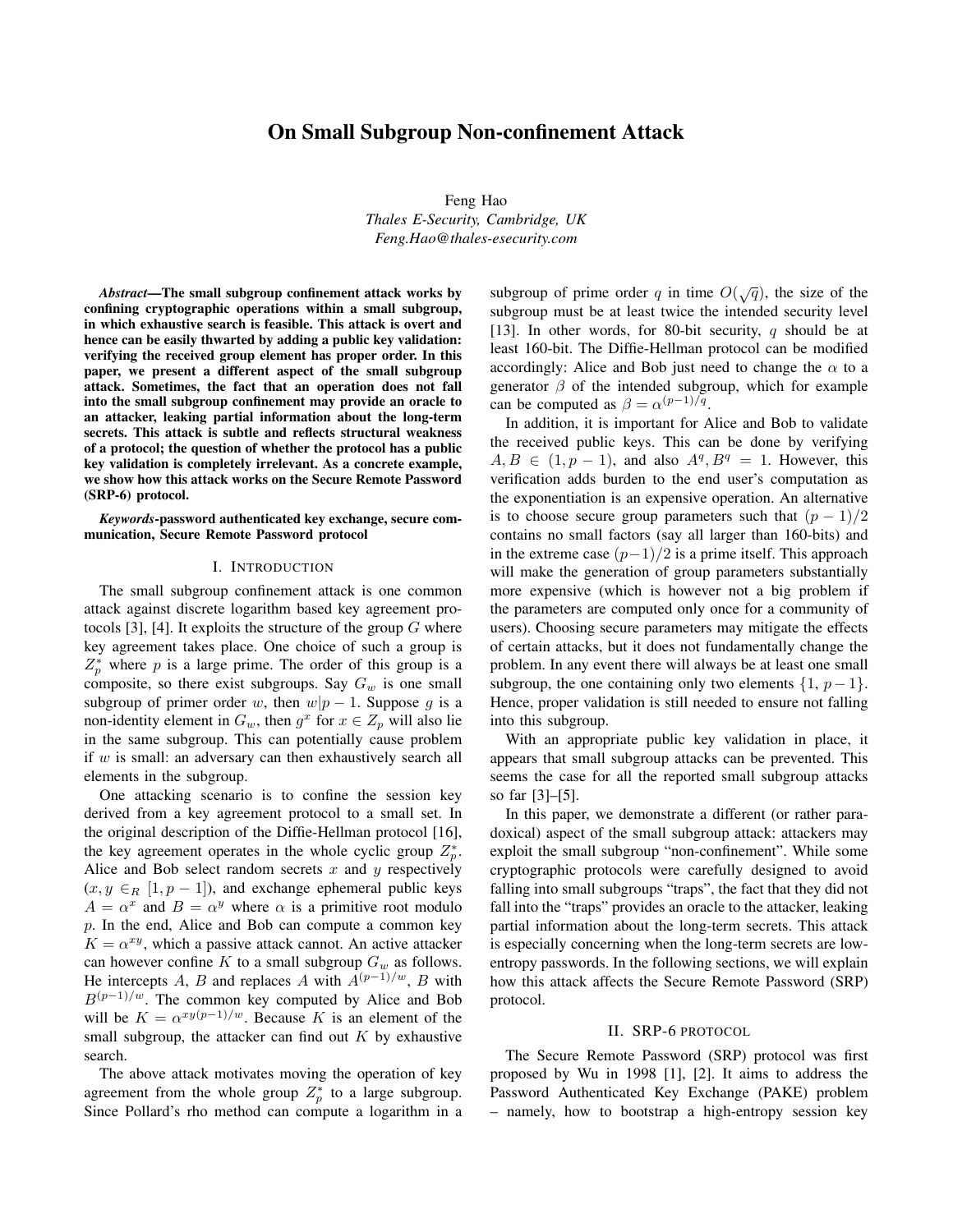# On Small Subgroup Non-confinement Attack

Feng Hao *Thales E-Security, Cambridge, UK Feng.Hao@thales-esecurity.com*

*Abstract*—The small subgroup confinement attack works by confining cryptographic operations within a small subgroup, in which exhaustive search is feasible. This attack is overt and hence can be easily thwarted by adding a public key validation: verifying the received group element has proper order. In this paper, we present a different aspect of the small subgroup attack. Sometimes, the fact that an operation does not fall into the small subgroup confinement may provide an oracle to an attacker, leaking partial information about the long-term secrets. This attack is subtle and reflects structural weakness of a protocol; the question of whether the protocol has a public key validation is completely irrelevant. As a concrete example, we show how this attack works on the Secure Remote Password (SRP-6) protocol.

*Keywords*-password authenticated key exchange, secure communication, Secure Remote Password protocol

### I. INTRODUCTION

The small subgroup confinement attack is one common attack against discrete logarithm based key agreement protocols [3], [4]. It exploits the structure of the group  $G$  where key agreement takes place. One choice of such a group is  $Z_p^*$  where p is a large prime. The order of this group is a composite, so there exist subgroups. Say  $G_w$  is one small subgroup of primer order w, then  $w|p-1$ . Suppose g is a non-identity element in  $G_w$ , then  $g^x$  for  $x \in Z_p$  will also lie in the same subgroup. This can potentially cause problem if  $w$  is small: an adversary can then exhaustively search all elements in the subgroup.

One attacking scenario is to confine the session key derived from a key agreement protocol to a small set. In the original description of the Diffie-Hellman protocol [16], the key agreement operates in the whole cyclic group  $Z_p^*$ . Alice and Bob select random secrets  $x$  and  $y$  respectively  $(x, y \in_R [1, p-1])$ , and exchange ephemeral public keys  $A = \alpha^x$  and  $B = \alpha^y$  where  $\alpha$  is a primitive root modulo p. In the end, Alice and Bob can compute a common key  $K = \alpha^{xy}$ , which a passive attack cannot. An active attacker can however confine K to a small subgroup  $G_w$  as follows. He intercepts A, B and replaces A with  $A^{(p-1)/w}$ , B with  $B^{(p-1)/w}$ . The common key computed by Alice and Bob will be  $K = \alpha^{xy(p-1)/w}$ . Because K is an element of the small subgroup, the attacker can find out  $K$  by exhaustive search.

The above attack motivates moving the operation of key agreement from the whole group  $Z_p^*$  to a large subgroup. Since Pollard's rho method can compute a logarithm in a

subgroup of prime order q in time  $O(\sqrt{q})$ , the size of the subgroup must be at least twice the intended security level [13]. In other words, for 80-bit security, q should be at least 160-bit. The Diffie-Hellman protocol can be modified accordingly: Alice and Bob just need to change the  $\alpha$  to a generator  $\beta$  of the intended subgroup, which for example can be computed as  $\beta = \alpha^{(p-1)/q}$ .

In addition, it is important for Alice and Bob to validate the received public keys. This can be done by verifying  $A, B \in (1, p - 1)$ , and also  $A<sup>q</sup>, B<sup>q</sup> = 1$ . However, this verification adds burden to the end user's computation as the exponentiation is an expensive operation. An alternative is to choose secure group parameters such that  $(p-1)/2$ contains no small factors (say all larger than 160-bits) and in the extreme case  $(p-1)/2$  is a prime itself. This approach will make the generation of group parameters substantially more expensive (which is however not a big problem if the parameters are computed only once for a community of users). Choosing secure parameters may mitigate the effects of certain attacks, but it does not fundamentally change the problem. In any event there will always be at least one small subgroup, the one containing only two elements  $\{1, p-1\}$ . Hence, proper validation is still needed to ensure not falling into this subgroup.

With an appropriate public key validation in place, it appears that small subgroup attacks can be prevented. This seems the case for all the reported small subgroup attacks so far [3]–[5].

In this paper, we demonstrate a different (or rather paradoxical) aspect of the small subgroup attack: attackers may exploit the small subgroup "non-confinement". While some cryptographic protocols were carefully designed to avoid falling into small subgroups "traps", the fact that they did not fall into the "traps" provides an oracle to the attacker, leaking partial information about the long-term secrets. This attack is especially concerning when the long-term secrets are lowentropy passwords. In the following sections, we will explain how this attack affects the Secure Remote Password (SRP) protocol.

## II. SRP-6 PROTOCOL

The Secure Remote Password (SRP) protocol was first proposed by Wu in 1998 [1], [2]. It aims to address the Password Authenticated Key Exchange (PAKE) problem – namely, how to bootstrap a high-entropy session key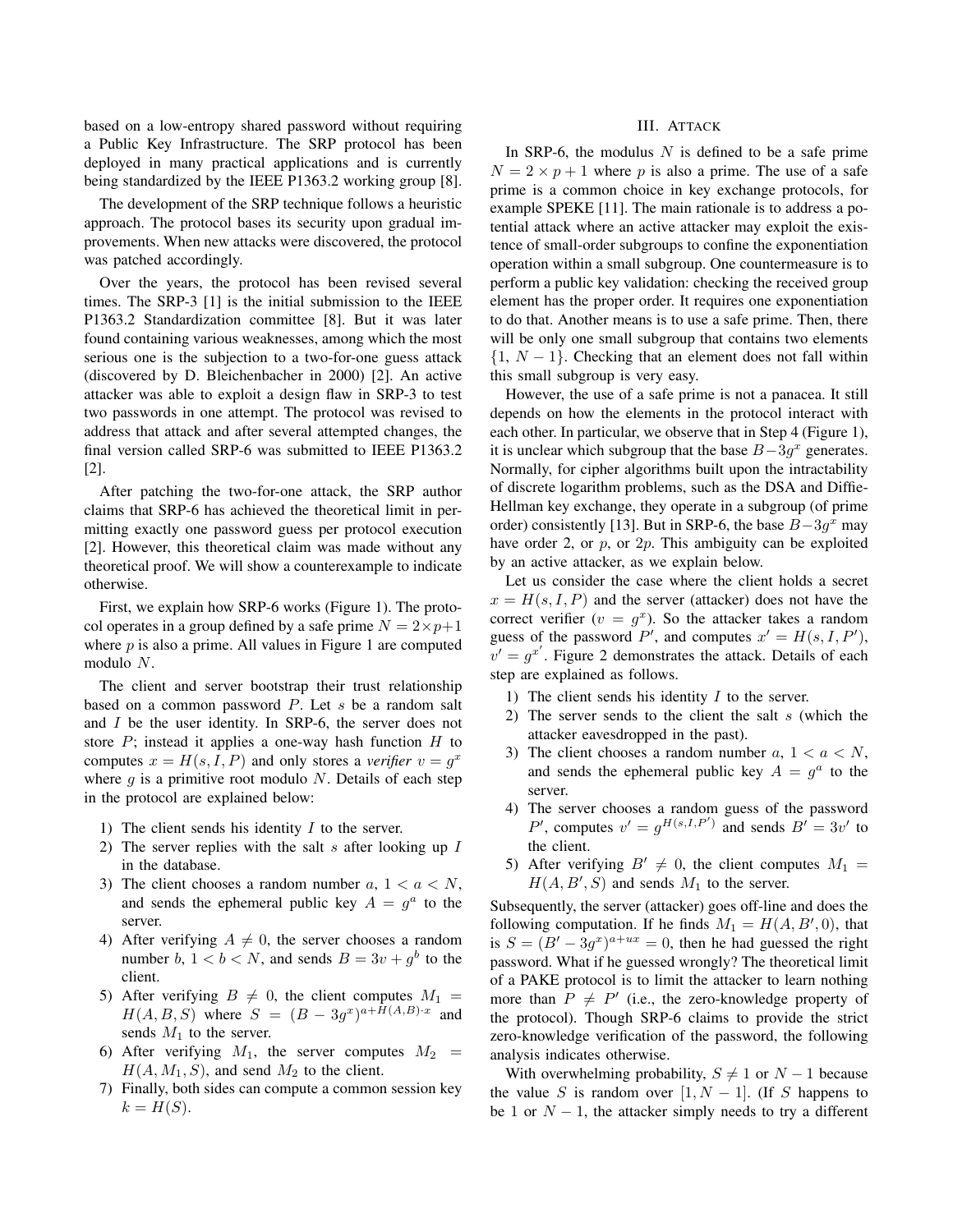based on a low-entropy shared password without requiring a Public Key Infrastructure. The SRP protocol has been deployed in many practical applications and is currently being standardized by the IEEE P1363.2 working group [8].

The development of the SRP technique follows a heuristic approach. The protocol bases its security upon gradual improvements. When new attacks were discovered, the protocol was patched accordingly.

Over the years, the protocol has been revised several times. The SRP-3 [1] is the initial submission to the IEEE P1363.2 Standardization committee [8]. But it was later found containing various weaknesses, among which the most serious one is the subjection to a two-for-one guess attack (discovered by D. Bleichenbacher in 2000) [2]. An active attacker was able to exploit a design flaw in SRP-3 to test two passwords in one attempt. The protocol was revised to address that attack and after several attempted changes, the final version called SRP-6 was submitted to IEEE P1363.2 [2].

After patching the two-for-one attack, the SRP author claims that SRP-6 has achieved the theoretical limit in permitting exactly one password guess per protocol execution [2]. However, this theoretical claim was made without any theoretical proof. We will show a counterexample to indicate otherwise.

First, we explain how SRP-6 works (Figure 1). The protocol operates in a group defined by a safe prime  $N = 2 \times p + 1$ where  $p$  is also a prime. All values in Figure 1 are computed modulo N.

The client and server bootstrap their trust relationship based on a common password  $P$ . Let  $s$  be a random salt and I be the user identity. In SRP-6, the server does not store  $P$ ; instead it applies a one-way hash function  $H$  to computes  $x = H(s, I, P)$  and only stores a *verifier*  $v = g^x$ where  $g$  is a primitive root modulo  $N$ . Details of each step in the protocol are explained below:

- 1) The client sends his identity  $I$  to the server.
- 2) The server replies with the salt  $s$  after looking up  $I$ in the database.
- 3) The client chooses a random number  $a, 1 < a < N$ , and sends the ephemeral public key  $A = g^a$  to the server.
- 4) After verifying  $A \neq 0$ , the server chooses a random number b,  $1 < b < N$ , and sends  $B = 3v + g<sup>b</sup>$  to the client.
- 5) After verifying  $B \neq 0$ , the client computes  $M_1 =$  $H(A, B, S)$  where  $S = (B - 3g^x)^{a+H(A, B)\cdot x}$  and sends  $M_1$  to the server.
- 6) After verifying  $M_1$ , the server computes  $M_2$  =  $H(A, M_1, S)$ , and send  $M_2$  to the client.
- 7) Finally, both sides can compute a common session key  $k = H(S)$ .

# III. ATTACK

In SRP-6, the modulus  $N$  is defined to be a safe prime  $N = 2 \times p + 1$  where p is also a prime. The use of a safe prime is a common choice in key exchange protocols, for example SPEKE [11]. The main rationale is to address a potential attack where an active attacker may exploit the existence of small-order subgroups to confine the exponentiation operation within a small subgroup. One countermeasure is to perform a public key validation: checking the received group element has the proper order. It requires one exponentiation to do that. Another means is to use a safe prime. Then, there will be only one small subgroup that contains two elements  ${1, N-1}$ . Checking that an element does not fall within this small subgroup is very easy.

However, the use of a safe prime is not a panacea. It still depends on how the elements in the protocol interact with each other. In particular, we observe that in Step 4 (Figure 1), it is unclear which subgroup that the base  $B-3g^x$  generates. Normally, for cipher algorithms built upon the intractability of discrete logarithm problems, such as the DSA and Diffie-Hellman key exchange, they operate in a subgroup (of prime order) consistently [13]. But in SRP-6, the base  $B-3g^x$  may have order 2, or  $p$ , or  $2p$ . This ambiguity can be exploited by an active attacker, as we explain below.

Let us consider the case where the client holds a secret  $x = H(s, I, P)$  and the server (attacker) does not have the correct verifier  $(v = g<sup>x</sup>)$ . So the attacker takes a random guess of the password P', and computes  $x' = H(s, I, P')$ ,  $v' = g^{x'}$ . Figure 2 demonstrates the attack. Details of each step are explained as follows.

- 1) The client sends his identity  $I$  to the server.
- 2) The server sends to the client the salt  $s$  (which the attacker eavesdropped in the past).
- 3) The client chooses a random number  $a, 1 < a < N$ , and sends the ephemeral public key  $A = g^a$  to the server.
- 4) The server chooses a random guess of the password P', computes  $v' = g^{H(s,I,P')}$  and sends  $B' = 3v'$  to the client.
- 5) After verifying  $B' \neq 0$ , the client computes  $M_1 =$  $H(A, B', S)$  and sends  $M_1$  to the server.

Subsequently, the server (attacker) goes off-line and does the following computation. If he finds  $M_1 = H(A, B', 0)$ , that is  $S = (B' - 3g^{x})^{a+ux} = 0$ , then he had guessed the right password. What if he guessed wrongly? The theoretical limit of a PAKE protocol is to limit the attacker to learn nothing more than  $P \neq P'$  (i.e., the zero-knowledge property of the protocol). Though SRP-6 claims to provide the strict zero-knowledge verification of the password, the following analysis indicates otherwise.

With overwhelming probability,  $S \neq 1$  or  $N - 1$  because the value S is random over [1, N – 1]. (If S happens to be 1 or  $N-1$ , the attacker simply needs to try a different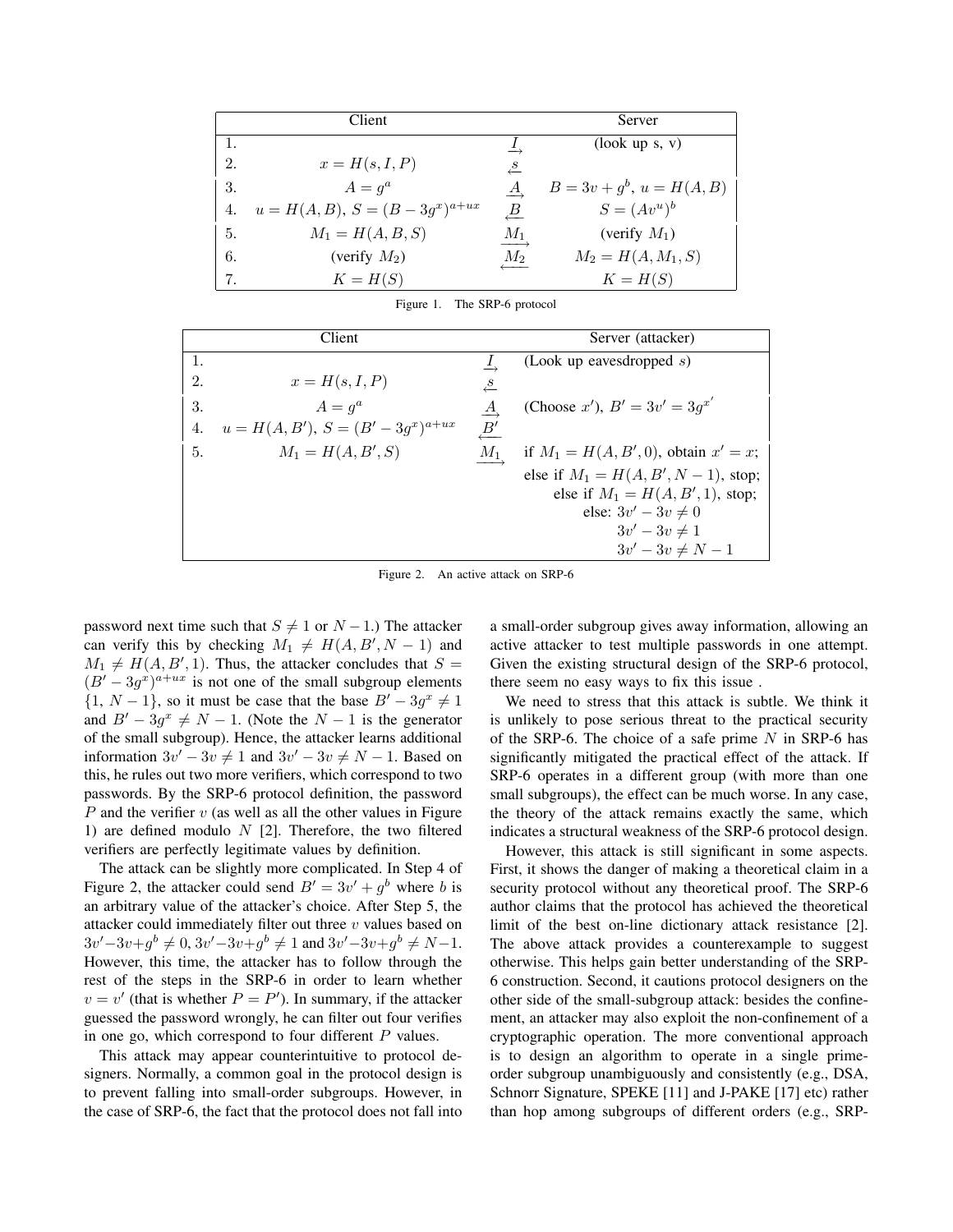|     | Client                               |                                 | Server                        |
|-----|--------------------------------------|---------------------------------|-------------------------------|
| 1.  |                                      |                                 | $($ look up s, v $)$          |
| 2.  | $x = H(s, I, P)$                     | $\overset{S}{\leftarrow}$       |                               |
| 3.  | $A = q^a$                            | $\stackrel{A}{\longrightarrow}$ | $B = 3v + g^{b}, u = H(A, B)$ |
| 4.  | $u = H(A, B), S = (B - 3g^x)^{a+ux}$ | $\underline{B}$                 | $S = (Av^u)^b$                |
| -5. | $M_1 = H(A, B, S)$                   | $\frac{M_1}{\sqrt{M_1}}$        | (verify $M_1$ )               |
| 6.  | (verify $M_2$ )                      | $M_2$                           | $M_2 = H(A, M_1, S)$          |
| 7.  | $K = H(S)$                           |                                 | $K = H(S)$                    |

Figure 1. The SRP-6 protocol

|    | Client                                   |                 | Server (attacker)                          |
|----|------------------------------------------|-----------------|--------------------------------------------|
| 1. |                                          |                 | (Look up eavesdropped $s$ )                |
| 2. | $x=H(s,I,P)$                             | $\frac{s}{s}$   |                                            |
| 3. | $A = q^a$                                | $\underline{A}$ | (Choose x'), $B' = 3v' = 3q^{x'}$          |
| 4. | $u = H(A, B'), S = (B' - 3g^{x})^{a+ux}$ | $B^\prime$      |                                            |
| 5. | $M_1 = H(A, B', S)$                      | $M_1$           | if $M_1 = H(A, B', 0)$ , obtain $x' = x$ ; |
|    |                                          |                 | else if $M_1 = H(A, B', N - 1)$ , stop;    |
|    |                                          |                 | else if $M_1 = H(A, B', 1)$ , stop;        |
|    |                                          |                 | else: $3v' - 3v \neq 0$                    |
|    |                                          |                 | $3v'-3v\neq 1$                             |
|    |                                          |                 | $3v' - 3v \neq N - 1$                      |

Figure 2. An active attack on SRP-6

password next time such that  $S \neq 1$  or  $N - 1$ .) The attacker can verify this by checking  $M_1 \neq H(A, B', N - 1)$  and  $M_1 \neq H(A, B', 1)$ . Thus, the attacker concludes that  $S =$  $(B' - 3g^{x})^{a+ux}$  is not one of the small subgroup elements  $\{1, N-1\}$ , so it must be case that the base  $B'-3g^x \neq 1$ and  $B' - 3g^x \neq N - 1$ . (Note the  $N - 1$  is the generator of the small subgroup). Hence, the attacker learns additional information  $3v' - 3v \neq 1$  and  $3v' - 3v \neq N - 1$ . Based on this, he rules out two more verifiers, which correspond to two passwords. By the SRP-6 protocol definition, the password  $P$  and the verifier  $v$  (as well as all the other values in Figure 1) are defined modulo  $N$  [2]. Therefore, the two filtered verifiers are perfectly legitimate values by definition.

The attack can be slightly more complicated. In Step 4 of Figure 2, the attacker could send  $B' = 3v' + g<sup>b</sup>$  where b is an arbitrary value of the attacker's choice. After Step 5, the attacker could immediately filter out three  $v$  values based on  $3v' - 3v + g^b \neq 0$ ,  $3v' - 3v + g^b \neq 1$  and  $3v' - 3v + g^b \neq N - 1$ . However, this time, the attacker has to follow through the rest of the steps in the SRP-6 in order to learn whether  $v = v'$  (that is whether  $P = P'$ ). In summary, if the attacker guessed the password wrongly, he can filter out four verifies in one go, which correspond to four different  $P$  values.

This attack may appear counterintuitive to protocol designers. Normally, a common goal in the protocol design is to prevent falling into small-order subgroups. However, in the case of SRP-6, the fact that the protocol does not fall into a small-order subgroup gives away information, allowing an active attacker to test multiple passwords in one attempt. Given the existing structural design of the SRP-6 protocol, there seem no easy ways to fix this issue .

We need to stress that this attack is subtle. We think it is unlikely to pose serious threat to the practical security of the SRP-6. The choice of a safe prime  $N$  in SRP-6 has significantly mitigated the practical effect of the attack. If SRP-6 operates in a different group (with more than one small subgroups), the effect can be much worse. In any case, the theory of the attack remains exactly the same, which indicates a structural weakness of the SRP-6 protocol design.

However, this attack is still significant in some aspects. First, it shows the danger of making a theoretical claim in a security protocol without any theoretical proof. The SRP-6 author claims that the protocol has achieved the theoretical limit of the best on-line dictionary attack resistance [2]. The above attack provides a counterexample to suggest otherwise. This helps gain better understanding of the SRP-6 construction. Second, it cautions protocol designers on the other side of the small-subgroup attack: besides the confinement, an attacker may also exploit the non-confinement of a cryptographic operation. The more conventional approach is to design an algorithm to operate in a single primeorder subgroup unambiguously and consistently (e.g., DSA, Schnorr Signature, SPEKE [11] and J-PAKE [17] etc) rather than hop among subgroups of different orders (e.g., SRP-